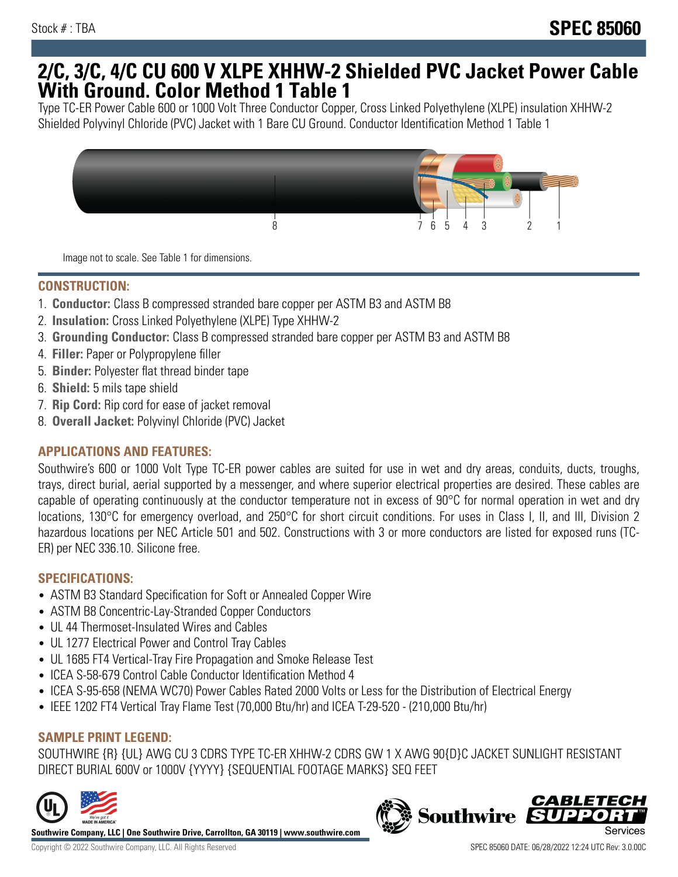## **2/C, 3/C, 4/C CU 600 V XLPE XHHW-2 Shielded PVC Jacket Power Cable With Ground. Color Method 1 Table 1**

Type TC-ER Power Cable 600 or 1000 Volt Three Conductor Copper, Cross Linked Polyethylene (XLPE) insulation XHHW-2 Shielded Polyvinyl Chloride (PVC) Jacket with 1 Bare CU Ground. Conductor Identification Method 1 Table 1



Image not to scale. See Table 1 for dimensions.

#### **CONSTRUCTION:**

- 1. **Conductor:** Class B compressed stranded bare copper per ASTM B3 and ASTM B8
- 2. **Insulation:** Cross Linked Polyethylene (XLPE) Type XHHW-2
- 3. **Grounding Conductor:** Class B compressed stranded bare copper per ASTM B3 and ASTM B8
- 4. **Filler:** Paper or Polypropylene filler
- 5. **Binder:** Polyester flat thread binder tape
- 6. **Shield:** 5 mils tape shield
- 7. **Rip Cord:** Rip cord for ease of jacket removal
- 8. **Overall Jacket:** Polyvinyl Chloride (PVC) Jacket

## **APPLICATIONS AND FEATURES:**

Southwire's 600 or 1000 Volt Type TC-ER power cables are suited for use in wet and dry areas, conduits, ducts, troughs, trays, direct burial, aerial supported by a messenger, and where superior electrical properties are desired. These cables are capable of operating continuously at the conductor temperature not in excess of 90°C for normal operation in wet and dry locations, 130°C for emergency overload, and 250°C for short circuit conditions. For uses in Class I, II, and III, Division 2 hazardous locations per NEC Article 501 and 502. Constructions with 3 or more conductors are listed for exposed runs (TC-ER) per NEC 336.10. Silicone free.

#### **SPECIFICATIONS:**

- ASTM B3 Standard Specification for Soft or Annealed Copper Wire
- ASTM B8 Concentric-Lay-Stranded Copper Conductors
- UL 44 Thermoset-Insulated Wires and Cables
- UL 1277 Electrical Power and Control Tray Cables
- UL 1685 FT4 Vertical-Tray Fire Propagation and Smoke Release Test
- ICEA S-58-679 Control Cable Conductor Identification Method 4
- ICEA S-95-658 (NEMA WC70) Power Cables Rated 2000 Volts or Less for the Distribution of Electrical Energy
- IEEE 1202 FT4 Vertical Tray Flame Test (70,000 Btu/hr) and ICEA T-29-520 (210,000 Btu/hr)

## **SAMPLE PRINT LEGEND:**

SOUTHWIRE {R} {UL} AWG CU 3 CDRS TYPE TC-ER XHHW-2 CDRS GW 1 X AWG 90{D}C JACKET SUNLIGHT RESISTANT DIRECT BURIAL 600V or 1000V {YYYY} {SEQUENTIAL FOOTAGE MARKS} SEQ FEET



**Southwire Company, LLC | One Southwire Drive, Carrollton, GA 30119 | www.southwire.com**